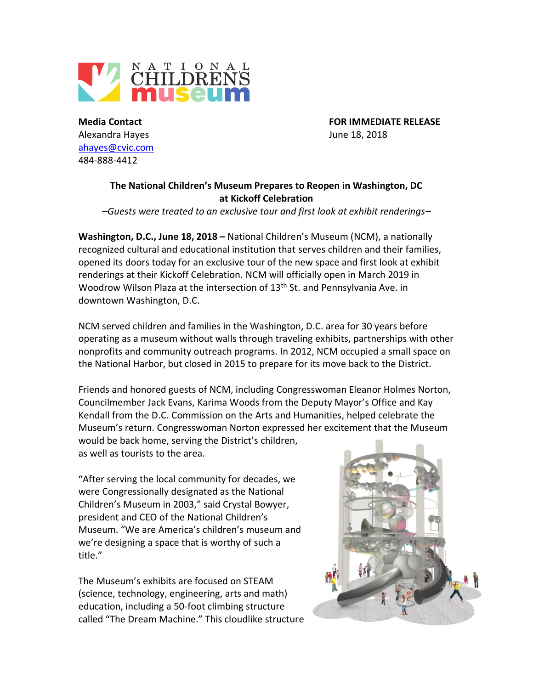

Alexandra Hayes June 18, 2018 [ahayes@cvic.com](mailto:ahayes@cvic.com) 484-888-4412

**Media Contact FOR IMMEDIATE RELEASE**

## **The National Children's Museum Prepares to Reopen in Washington, DC at Kickoff Celebration**

*–Guests were treated to an exclusive tour and first look at exhibit renderings–*

**Washington, D.C., June 18, 2018 –** National Children's Museum (NCM), a nationally recognized cultural and educational institution that serves children and their families, opened its doors today for an exclusive tour of the new space and first look at exhibit renderings at their Kickoff Celebration. NCM will officially open in March 2019 in Woodrow Wilson Plaza at the intersection of 13<sup>th</sup> St. and Pennsylvania Ave. in downtown Washington, D.C.

NCM served children and families in the Washington, D.C. area for 30 years before operating as a museum without walls through traveling exhibits, partnerships with other nonprofits and community outreach programs. In 2012, NCM occupied a small space on the National Harbor, but closed in 2015 to prepare for its move back to the District.

Friends and honored guests of NCM, including Congresswoman Eleanor Holmes Norton, Councilmember Jack Evans, Karima Woods from the Deputy Mayor's Office and Kay Kendall from the D.C. Commission on the Arts and Humanities, helped celebrate the Museum's return. Congresswoman Norton expressed her excitement that the Museum would be back home, serving the District's children,

as well as tourists to the area.

"After serving the local community for decades, we were Congressionally designated as the National Children's Museum in 2003," said Crystal Bowyer, president and CEO of the National Children's Museum. "We are America's children's museum and we're designing a space that is worthy of such a title."

The Museum's exhibits are focused on STEAM (science, technology, engineering, arts and math) education, including a 50-foot climbing structure called "The Dream Machine." This cloudlike structure